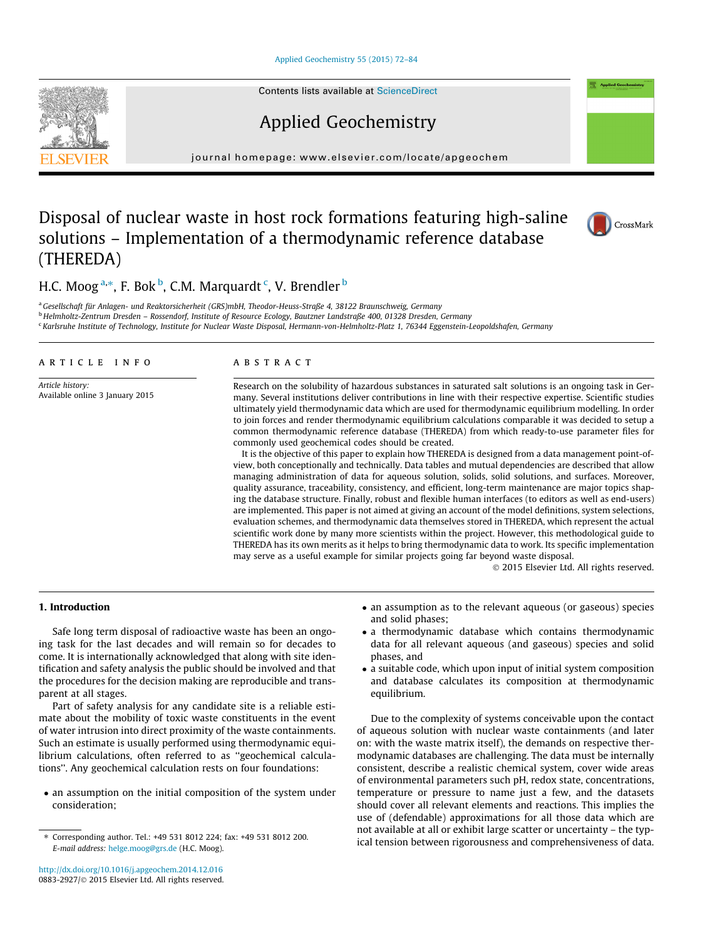[Applied Geochemistry 55 \(2015\) 72–84](http://dx.doi.org/10.1016/j.apgeochem.2014.12.016)

Contents lists available at [ScienceDirect](http://www.sciencedirect.com/science/journal/08832927)

# Applied Geochemistry

journal homepage: [www.elsevier.com/locate/apgeochem](http://www.elsevier.com/locate/apgeochem)

# Disposal of nuclear waste in host rock formations featuring high-saline solutions – Implementation of a thermodynamic reference database (THEREDA)

# CrossMark

# H.C. Moog <sup>a,</sup>\*, F. Bok <sup>b</sup>, C.M. Marquardt <sup>c</sup>, V. Brendler <sup>b</sup>

<sup>a</sup> Gesellschaft für Anlagen- und Reaktorsicherheit (GRS)mbH, Theodor-Heuss-Straße 4, 38122 Braunschweig, Germany

<sup>b</sup> Helmholtz-Zentrum Dresden – Rossendorf, Institute of Resource Ecology, Bautzner Landstraße 400, 01328 Dresden, Germany

<sup>c</sup> Karlsruhe Institute of Technology, Institute for Nuclear Waste Disposal, Hermann-von-Helmholtz-Platz 1, 76344 Eggenstein-Leopoldshafen, Germany

# article info

Article history: Available online 3 January 2015

## **ABSTRACT**

Research on the solubility of hazardous substances in saturated salt solutions is an ongoing task in Germany. Several institutions deliver contributions in line with their respective expertise. Scientific studies ultimately yield thermodynamic data which are used for thermodynamic equilibrium modelling. In order to join forces and render thermodynamic equilibrium calculations comparable it was decided to setup a common thermodynamic reference database (THEREDA) from which ready-to-use parameter files for commonly used geochemical codes should be created.

It is the objective of this paper to explain how THEREDA is designed from a data management point-ofview, both conceptionally and technically. Data tables and mutual dependencies are described that allow managing administration of data for aqueous solution, solids, solid solutions, and surfaces. Moreover, quality assurance, traceability, consistency, and efficient, long-term maintenance are major topics shaping the database structure. Finally, robust and flexible human interfaces (to editors as well as end-users) are implemented. This paper is not aimed at giving an account of the model definitions, system selections, evaluation schemes, and thermodynamic data themselves stored in THEREDA, which represent the actual scientific work done by many more scientists within the project. However, this methodological guide to THEREDA has its own merits as it helps to bring thermodynamic data to work. Its specific implementation may serve as a useful example for similar projects going far beyond waste disposal.

- 2015 Elsevier Ltd. All rights reserved.

# 1. Introduction

Safe long term disposal of radioactive waste has been an ongoing task for the last decades and will remain so for decades to come. It is internationally acknowledged that along with site identification and safety analysis the public should be involved and that the procedures for the decision making are reproducible and transparent at all stages.

Part of safety analysis for any candidate site is a reliable estimate about the mobility of toxic waste constituents in the event of water intrusion into direct proximity of the waste containments. Such an estimate is usually performed using thermodynamic equilibrium calculations, often referred to as ''geochemical calculations''. Any geochemical calculation rests on four foundations:

• an assumption on the initial composition of the system under consideration;

- an assumption as to the relevant aqueous (or gaseous) species and solid phases;
- a thermodynamic database which contains thermodynamic data for all relevant aqueous (and gaseous) species and solid phases, and
- a suitable code, which upon input of initial system composition and database calculates its composition at thermodynamic equilibrium.

Due to the complexity of systems conceivable upon the contact of aqueous solution with nuclear waste containments (and later on: with the waste matrix itself), the demands on respective thermodynamic databases are challenging. The data must be internally consistent, describe a realistic chemical system, cover wide areas of environmental parameters such pH, redox state, concentrations, temperature or pressure to name just a few, and the datasets should cover all relevant elements and reactions. This implies the use of (defendable) approximations for all those data which are not available at all or exhibit large scatter or uncertainty – the typical tension between rigorousness and comprehensiveness of data.



<sup>⇑</sup> Corresponding author. Tel.: +49 531 8012 224; fax: +49 531 8012 200. E-mail address: [helge.moog@grs.de](mailto:helge.moog@grs.de) (H.C. Moog).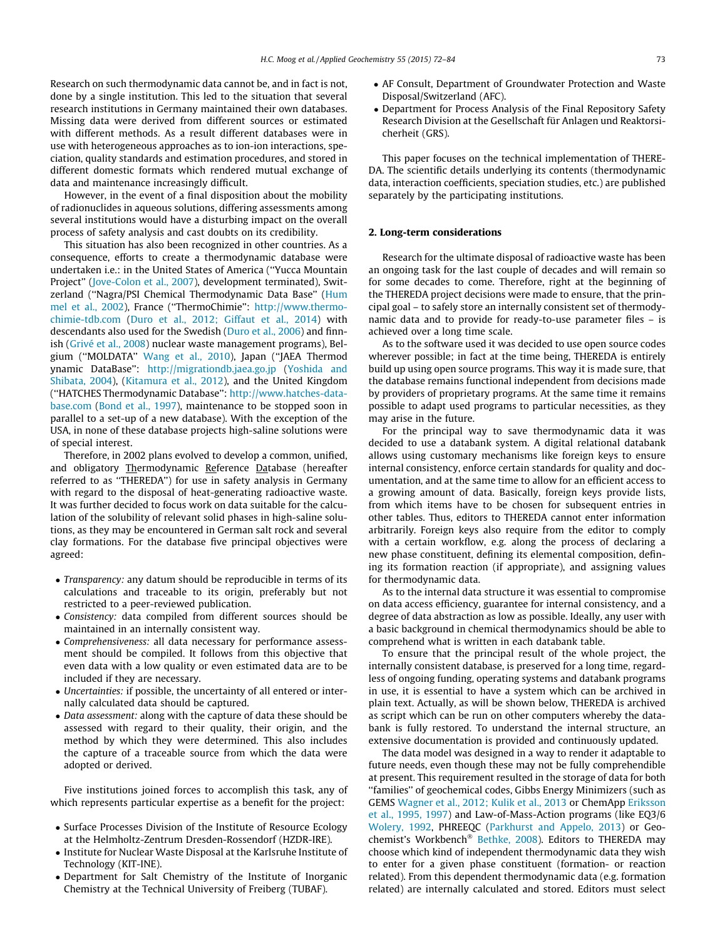Research on such thermodynamic data cannot be, and in fact is not, done by a single institution. This led to the situation that several research institutions in Germany maintained their own databases. Missing data were derived from different sources or estimated with different methods. As a result different databases were in use with heterogeneous approaches as to ion-ion interactions, speciation, quality standards and estimation procedures, and stored in different domestic formats which rendered mutual exchange of data and maintenance increasingly difficult.

However, in the event of a final disposition about the mobility of radionuclides in aqueous solutions, differing assessments among several institutions would have a disturbing impact on the overall process of safety analysis and cast doubts on its credibility.

This situation has also been recognized in other countries. As a consequence, efforts to create a thermodynamic database were undertaken i.e.: in the United States of America (''Yucca Mountain Project'' [\(Jove-Colon et al., 2007\)](#page-12-0), development terminated), Switzerland (''Nagra/PSI Chemical Thermodynamic Data Base'' ([Hum](#page-12-0) [mel et al., 2002\)](#page-12-0), France (''ThermoChimie'': [http://www.thermo](http://www.thermochimie-tdb.com)[chimie-tdb.com](http://www.thermochimie-tdb.com) [\(Duro et al., 2012; Giffaut et al., 2014\)](#page-11-0) with descendants also used for the Swedish [\(Duro et al., 2006\)](#page-11-0) and finnish [\(Grivé et al., 2008](#page-12-0)) nuclear waste management programs), Belgium (''MOLDATA'' [Wang et al., 2010](#page-12-0)), Japan (''JAEA Thermod ynamic DataBase'': <http://migrationdb.jaea.go.jp> [\(Yoshida and](#page-12-0) [Shibata, 2004\)](#page-12-0), [\(Kitamura et al., 2012\)](#page-12-0), and the United Kingdom (''HATCHES Thermodynamic Database'': [http://www.hatches-data](http://www.hatches-database.com)[base.com](http://www.hatches-database.com) ([Bond et al., 1997](#page-11-0)), maintenance to be stopped soon in parallel to a set-up of a new database). With the exception of the USA, in none of these database projects high-saline solutions were of special interest.

Therefore, in 2002 plans evolved to develop a common, unified, and obligatory Thermodynamic Reference Database (hereafter referred to as ''THEREDA'') for use in safety analysis in Germany with regard to the disposal of heat-generating radioactive waste. It was further decided to focus work on data suitable for the calculation of the solubility of relevant solid phases in high-saline solutions, as they may be encountered in German salt rock and several clay formations. For the database five principal objectives were agreed:

- Transparency: any datum should be reproducible in terms of its calculations and traceable to its origin, preferably but not restricted to a peer-reviewed publication.
- Consistency: data compiled from different sources should be maintained in an internally consistent way.
- Comprehensiveness: all data necessary for performance assessment should be compiled. It follows from this objective that even data with a low quality or even estimated data are to be included if they are necessary.
- Uncertainties: if possible, the uncertainty of all entered or internally calculated data should be captured.
- Data assessment: along with the capture of data these should be assessed with regard to their quality, their origin, and the method by which they were determined. This also includes the capture of a traceable source from which the data were adopted or derived.

Five institutions joined forces to accomplish this task, any of which represents particular expertise as a benefit for the project:

- Surface Processes Division of the Institute of Resource Ecology at the Helmholtz-Zentrum Dresden-Rossendorf (HZDR-IRE).
- Institute for Nuclear Waste Disposal at the Karlsruhe Institute of Technology (KIT-INE).
- Department for Salt Chemistry of the Institute of Inorganic Chemistry at the Technical University of Freiberg (TUBAF).
- AF Consult, Department of Groundwater Protection and Waste Disposal/Switzerland (AFC).
- Department for Process Analysis of the Final Repository Safety Research Division at the Gesellschaft für Anlagen und Reaktorsicherheit (GRS).

This paper focuses on the technical implementation of THERE-DA. The scientific details underlying its contents (thermodynamic data, interaction coefficients, speciation studies, etc.) are published separately by the participating institutions.

# 2. Long-term considerations

Research for the ultimate disposal of radioactive waste has been an ongoing task for the last couple of decades and will remain so for some decades to come. Therefore, right at the beginning of the THEREDA project decisions were made to ensure, that the principal goal – to safely store an internally consistent set of thermodynamic data and to provide for ready-to-use parameter files – is achieved over a long time scale.

As to the software used it was decided to use open source codes wherever possible; in fact at the time being, THEREDA is entirely build up using open source programs. This way it is made sure, that the database remains functional independent from decisions made by providers of proprietary programs. At the same time it remains possible to adapt used programs to particular necessities, as they may arise in the future.

For the principal way to save thermodynamic data it was decided to use a databank system. A digital relational databank allows using customary mechanisms like foreign keys to ensure internal consistency, enforce certain standards for quality and documentation, and at the same time to allow for an efficient access to a growing amount of data. Basically, foreign keys provide lists, from which items have to be chosen for subsequent entries in other tables. Thus, editors to THEREDA cannot enter information arbitrarily. Foreign keys also require from the editor to comply with a certain workflow, e.g. along the process of declaring a new phase constituent, defining its elemental composition, defining its formation reaction (if appropriate), and assigning values for thermodynamic data.

As to the internal data structure it was essential to compromise on data access efficiency, guarantee for internal consistency, and a degree of data abstraction as low as possible. Ideally, any user with a basic background in chemical thermodynamics should be able to comprehend what is written in each databank table.

To ensure that the principal result of the whole project, the internally consistent database, is preserved for a long time, regardless of ongoing funding, operating systems and databank programs in use, it is essential to have a system which can be archived in plain text. Actually, as will be shown below, THEREDA is archived as script which can be run on other computers whereby the databank is fully restored. To understand the internal structure, an extensive documentation is provided and continuously updated.

The data model was designed in a way to render it adaptable to future needs, even though these may not be fully comprehendible at present. This requirement resulted in the storage of data for both ''families'' of geochemical codes, Gibbs Energy Minimizers (such as GEMS [Wagner et al., 2012; Kulik et al., 2013](#page-12-0) or ChemApp [Eriksson](#page-12-0) [et al., 1995, 1997\)](#page-12-0) and Law-of-Mass-Action programs (like EQ3/6 [Wolery, 1992](#page-12-0), PHREEQC ([Parkhurst and Appelo, 2013\)](#page-12-0) or Geo-chemist's Workbench® [Bethke, 2008](#page-11-0)). Editors to THEREDA may choose which kind of independent thermodynamic data they wish to enter for a given phase constituent (formation- or reaction related). From this dependent thermodynamic data (e.g. formation related) are internally calculated and stored. Editors must select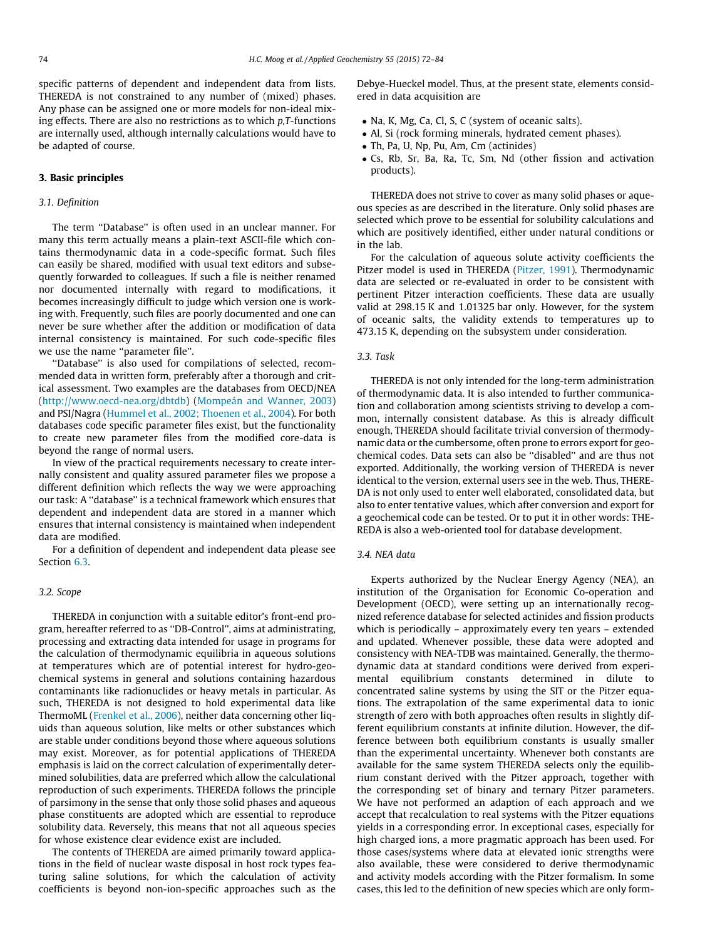<span id="page-2-0"></span>specific patterns of dependent and independent data from lists. THEREDA is not constrained to any number of (mixed) phases. Any phase can be assigned one or more models for non-ideal mixing effects. There are also no restrictions as to which p,T-functions are internally used, although internally calculations would have to be adapted of course.

# 3. Basic principles

#### 3.1. Definition

The term ''Database'' is often used in an unclear manner. For many this term actually means a plain-text ASCII-file which contains thermodynamic data in a code-specific format. Such files can easily be shared, modified with usual text editors and subsequently forwarded to colleagues. If such a file is neither renamed nor documented internally with regard to modifications, it becomes increasingly difficult to judge which version one is working with. Frequently, such files are poorly documented and one can never be sure whether after the addition or modification of data internal consistency is maintained. For such code-specific files we use the name ''parameter file''.

''Database'' is also used for compilations of selected, recommended data in written form, preferably after a thorough and critical assessment. Two examples are the databases from OECD/NEA (<http://www.oecd-nea.org/dbtdb>) ([Mompeán and Wanner, 2003\)](#page-12-0) and PSI/Nagra [\(Hummel et al., 2002; Thoenen et al., 2004\)](#page-12-0). For both databases code specific parameter files exist, but the functionality to create new parameter files from the modified core-data is beyond the range of normal users.

In view of the practical requirements necessary to create internally consistent and quality assured parameter files we propose a different definition which reflects the way we were approaching our task: A ''database'' is a technical framework which ensures that dependent and independent data are stored in a manner which ensures that internal consistency is maintained when independent data are modified.

For a definition of dependent and independent data please see Section [6.3](#page-6-0).

#### 3.2. Scope

THEREDA in conjunction with a suitable editor's front-end program, hereafter referred to as ''DB-Control'', aims at administrating, processing and extracting data intended for usage in programs for the calculation of thermodynamic equilibria in aqueous solutions at temperatures which are of potential interest for hydro-geochemical systems in general and solutions containing hazardous contaminants like radionuclides or heavy metals in particular. As such, THEREDA is not designed to hold experimental data like ThermoML ([Frenkel et al., 2006\)](#page-12-0), neither data concerning other liquids than aqueous solution, like melts or other substances which are stable under conditions beyond those where aqueous solutions may exist. Moreover, as for potential applications of THEREDA emphasis is laid on the correct calculation of experimentally determined solubilities, data are preferred which allow the calculational reproduction of such experiments. THEREDA follows the principle of parsimony in the sense that only those solid phases and aqueous phase constituents are adopted which are essential to reproduce solubility data. Reversely, this means that not all aqueous species for whose existence clear evidence exist are included.

The contents of THEREDA are aimed primarily toward applications in the field of nuclear waste disposal in host rock types featuring saline solutions, for which the calculation of activity coefficients is beyond non-ion-specific approaches such as the Debye-Hueckel model. Thus, at the present state, elements considered in data acquisition are

- Na, K, Mg, Ca, Cl, S, C (system of oceanic salts).
- Al, Si (rock forming minerals, hydrated cement phases).
- Th, Pa, U, Np, Pu, Am, Cm (actinides)
- Cs, Rb, Sr, Ba, Ra, Tc, Sm, Nd (other fission and activation products).

THEREDA does not strive to cover as many solid phases or aqueous species as are described in the literature. Only solid phases are selected which prove to be essential for solubility calculations and which are positively identified, either under natural conditions or in the lab.

For the calculation of aqueous solute activity coefficients the Pitzer model is used in THEREDA ([Pitzer, 1991\)](#page-12-0). Thermodynamic data are selected or re-evaluated in order to be consistent with pertinent Pitzer interaction coefficients. These data are usually valid at 298.15 K and 1.01325 bar only. However, for the system of oceanic salts, the validity extends to temperatures up to 473.15 K, depending on the subsystem under consideration.

# 3.3. Task

THEREDA is not only intended for the long-term administration of thermodynamic data. It is also intended to further communication and collaboration among scientists striving to develop a common, internally consistent database. As this is already difficult enough, THEREDA should facilitate trivial conversion of thermodynamic data or the cumbersome, often prone to errors export for geochemical codes. Data sets can also be ''disabled'' and are thus not exported. Additionally, the working version of THEREDA is never identical to the version, external users see in the web. Thus, THERE-DA is not only used to enter well elaborated, consolidated data, but also to enter tentative values, which after conversion and export for a geochemical code can be tested. Or to put it in other words: THE-REDA is also a web-oriented tool for database development.

## 3.4. NEA data

Experts authorized by the Nuclear Energy Agency (NEA), an institution of the Organisation for Economic Co-operation and Development (OECD), were setting up an internationally recognized reference database for selected actinides and fission products which is periodically – approximately every ten years – extended and updated. Whenever possible, these data were adopted and consistency with NEA-TDB was maintained. Generally, the thermodynamic data at standard conditions were derived from experimental equilibrium constants determined in dilute to concentrated saline systems by using the SIT or the Pitzer equations. The extrapolation of the same experimental data to ionic strength of zero with both approaches often results in slightly different equilibrium constants at infinite dilution. However, the difference between both equilibrium constants is usually smaller than the experimental uncertainty. Whenever both constants are available for the same system THEREDA selects only the equilibrium constant derived with the Pitzer approach, together with the corresponding set of binary and ternary Pitzer parameters. We have not performed an adaption of each approach and we accept that recalculation to real systems with the Pitzer equations yields in a corresponding error. In exceptional cases, especially for high charged ions, a more pragmatic approach has been used. For those cases/systems where data at elevated ionic strengths were also available, these were considered to derive thermodynamic and activity models according with the Pitzer formalism. In some cases, this led to the definition of new species which are only form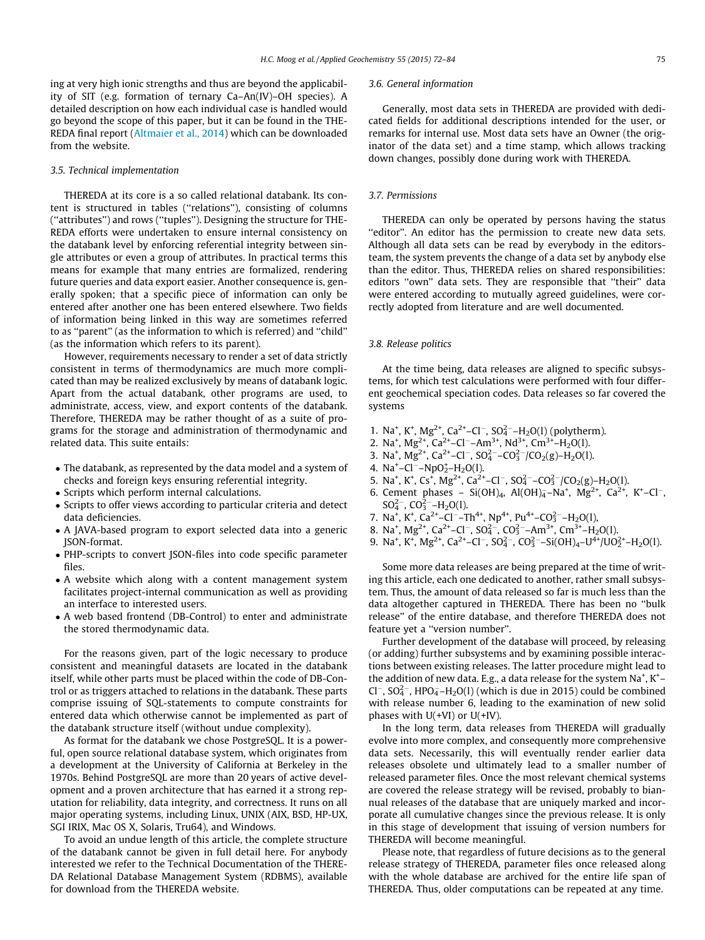ing at very high ionic strengths and thus are beyond the applicability of SIT (e.g. formation of ternary Ca–An(IV)–OH species). A detailed description on how each individual case is handled would go beyond the scope of this paper, but it can be found in the THE-REDA final report [\(Altmaier et al., 2014\)](#page-11-0) which can be downloaded from the website.

#### 3.5. Technical implementation

THEREDA at its core is a so called relational databank. Its content is structured in tables (''relations''), consisting of columns (''attributes'') and rows (''tuples''). Designing the structure for THE-REDA efforts were undertaken to ensure internal consistency on the databank level by enforcing referential integrity between single attributes or even a group of attributes. In practical terms this means for example that many entries are formalized, rendering future queries and data export easier. Another consequence is, generally spoken; that a specific piece of information can only be entered after another one has been entered elsewhere. Two fields of information being linked in this way are sometimes referred to as ''parent'' (as the information to which is referred) and ''child'' (as the information which refers to its parent).

However, requirements necessary to render a set of data strictly consistent in terms of thermodynamics are much more complicated than may be realized exclusively by means of databank logic. Apart from the actual databank, other programs are used, to administrate, access, view, and export contents of the databank. Therefore, THEREDA may be rather thought of as a suite of programs for the storage and administration of thermodynamic and related data. This suite entails:

- The databank, as represented by the data model and a system of checks and foreign keys ensuring referential integrity.
- Scripts which perform internal calculations.
- Scripts to offer views according to particular criteria and detect data deficiencies.
- A JAVA-based program to export selected data into a generic JSON-format.
- PHP-scripts to convert JSON-files into code specific parameter files.
- A website which along with a content management system facilitates project-internal communication as well as providing an interface to interested users.
- A web based frontend (DB-Control) to enter and administrate the stored thermodynamic data.

For the reasons given, part of the logic necessary to produce consistent and meaningful datasets are located in the databank itself, while other parts must be placed within the code of DB-Control or as triggers attached to relations in the databank. These parts comprise issuing of SQL-statements to compute constraints for entered data which otherwise cannot be implemented as part of the databank structure itself (without undue complexity).

As format for the databank we chose PostgreSQL. It is a powerful, open source relational database system, which originates from a development at the University of California at Berkeley in the 1970s. Behind PostgreSQL are more than 20 years of active development and a proven architecture that has earned it a strong reputation for reliability, data integrity, and correctness. It runs on all major operating systems, including Linux, UNIX (AIX, BSD, HP-UX, SGI IRIX, Mac OS X, Solaris, Tru64), and Windows.

To avoid an undue length of this article, the complete structure of the databank cannot be given in full detail here. For anybody interested we refer to the Technical Documentation of the THERE-DA Relational Database Management System (RDBMS), available for download from the THEREDA website.

#### 3.6. General information

Generally, most data sets in THEREDA are provided with dedicated fields for additional descriptions intended for the user, or remarks for internal use. Most data sets have an Owner (the originator of the data set) and a time stamp, which allows tracking down changes, possibly done during work with THEREDA.

# 3.7. Permissions

THEREDA can only be operated by persons having the status "editor". An editor has the permission to create new data sets. Although all data sets can be read by everybody in the editorsteam, the system prevents the change of a data set by anybody else than the editor. Thus, THEREDA relies on shared responsibilities: editors ''own'' data sets. They are responsible that ''their'' data were entered according to mutually agreed guidelines, were correctly adopted from literature and are well documented.

#### 3.8. Release politics

At the time being, data releases are aligned to specific subsystems, for which test calculations were performed with four different geochemical speciation codes. Data releases so far covered the systems

- 1. Na<sup>+</sup>, K<sup>+</sup>, Mg<sup>2+</sup>, Ca<sup>2+</sup>-Cl<sup>-</sup>, SO<sub>4</sub><sup>2</sup>-H<sub>2</sub>O(l) (polytherm).
- 2. Na<sup>+</sup>, Mg<sup>2+</sup>, Ca<sup>2+</sup>–Cl<sup>-</sup>–Am<sup>3+</sup>, Nd<sup>3+</sup>, Cm<sup>3+</sup>–H<sub>2</sub>O(1).
- 3. Na<sup>+</sup>, Mg<sup>2+</sup>, Ca<sup>2+</sup>-Cl<sup>-</sup>, SO<sub>4</sub><sup>2-</sup>-CO<sub>3</sub><sup>-</sup>/CO<sub>2</sub>(g)-H<sub>2</sub>O(1).
- 4.  $Na^+ Cl^- NpO_2^+ H_2O(1)$ .
- 5. Na<sup>+</sup>, K<sup>+</sup>, Cs<sup>+</sup>, Mg<sup>2+</sup>, Ca<sup>2+</sup>-Cl<sup>-</sup>, SO<sub>4</sub><sup>-</sup>-CO<sub>3</sub><sup>-</sup>/CO<sub>2</sub>(g)-H<sub>2</sub>O(l).
- 6. Cement phases Si(OH)<sub>4</sub>, Al(OH)<sub>4</sub>-Na<sup>+</sup>, Mg<sup>2+</sup>, Ca<sup>2+</sup>, K<sup>+</sup>-Cl<sup>-</sup>,  $SO_4^{2-}$ ,  $CO_3^{2-}$ -H<sub>2</sub>O(1).
- 7. Na<sup>+</sup>, K<sup>+</sup>, Ca<sup>2+</sup>-Cl<sup>-</sup>-Th<sup>4+</sup>, Np<sup>4+</sup>, Pu<sup>4+</sup>-CO<sub>3</sub><sup>-</sup>-H<sub>2</sub>O(1),
- 8. Na<sup>+</sup>, Mg<sup>2+</sup>, Ca<sup>2+</sup>-Cl<sup>-</sup>, SO<sub>4</sub><sup>2</sup>-, CO<sub>3</sub><sup>-</sup>-Am<sup>3+</sup>, Cm<sup>3+</sup>-H<sub>2</sub>O(1).
- 9. Na<sup>+</sup>, K<sup>+</sup>, Mg<sup>2+</sup>, Ca<sup>2+</sup>-Cl<sup>-</sup>, SO<sub>4</sub><sup>2-</sup>, CO<sub>3</sub><sup>-</sup>-Si(OH)<sub>4</sub>-U<sup>4+</sup>/UO<sub>2</sub><sup>+</sup>-H<sub>2</sub>O(1).

Some more data releases are being prepared at the time of writing this article, each one dedicated to another, rather small subsystem. Thus, the amount of data released so far is much less than the data altogether captured in THEREDA. There has been no ''bulk release'' of the entire database, and therefore THEREDA does not feature yet a ''version number''.

Further development of the database will proceed, by releasing (or adding) further subsystems and by examining possible interactions between existing releases. The latter procedure might lead to the addition of new data. E.g., a data release for the system  $\text{Na}^+$ , K<sup>+</sup>- $Cl^-$ ,  $SO_4^{2-}$ , HPO<sub>4</sub>-H<sub>2</sub>O(1) (which is due in 2015) could be combined with release number 6, leading to the examination of new solid phases with U(+VI) or U(+IV).

In the long term, data releases from THEREDA will gradually evolve into more complex, and consequently more comprehensive data sets. Necessarily, this will eventually render earlier data releases obsolete und ultimately lead to a smaller number of released parameter files. Once the most relevant chemical systems are covered the release strategy will be revised, probably to biannual releases of the database that are uniquely marked and incorporate all cumulative changes since the previous release. It is only in this stage of development that issuing of version numbers for THEREDA will become meaningful.

Please note, that regardless of future decisions as to the general release strategy of THEREDA, parameter files once released along with the whole database are archived for the entire life span of THEREDA. Thus, older computations can be repeated at any time.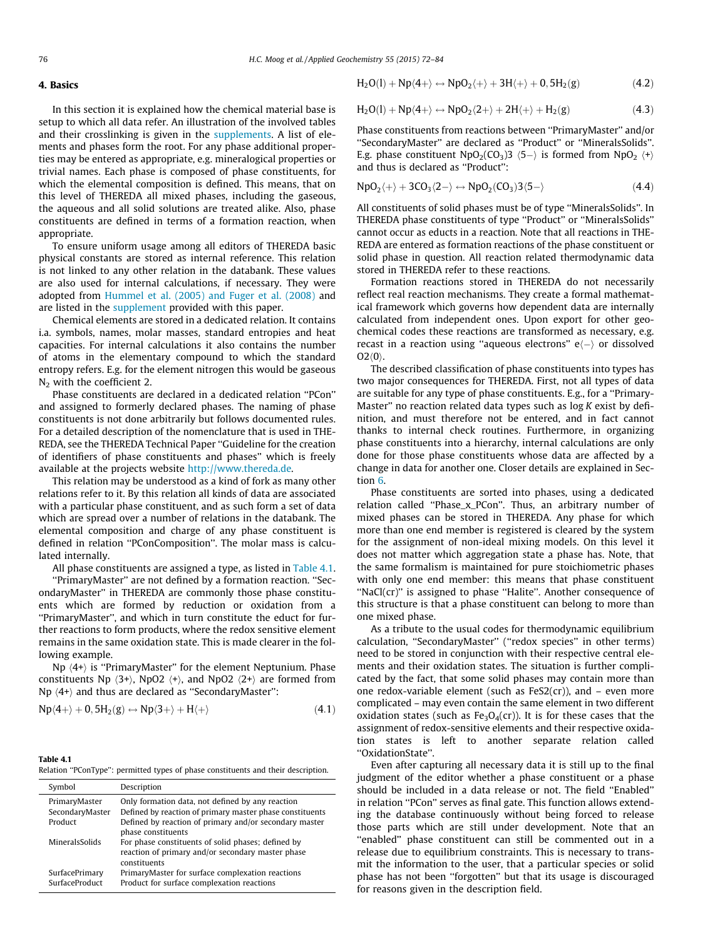# 4. Basics

In this section it is explained how the chemical material base is setup to which all data refer. An illustration of the involved tables and their crosslinking is given in the supplements. A list of elements and phases form the root. For any phase additional properties may be entered as appropriate, e.g. mineralogical properties or trivial names. Each phase is composed of phase constituents, for which the elemental composition is defined. This means, that on this level of THEREDA all mixed phases, including the gaseous, the aqueous and all solid solutions are treated alike. Also, phase constituents are defined in terms of a formation reaction, when appropriate.

To ensure uniform usage among all editors of THEREDA basic physical constants are stored as internal reference. This relation is not linked to any other relation in the databank. These values are also used for internal calculations, if necessary. They were adopted from [Hummel et al. \(2005\) and Fuger et al. \(2008\)](#page-12-0) and are listed in the supplement provided with this paper.

Chemical elements are stored in a dedicated relation. It contains i.a. symbols, names, molar masses, standard entropies and heat capacities. For internal calculations it also contains the number of atoms in the elementary compound to which the standard entropy refers. E.g. for the element nitrogen this would be gaseous N<sub>2</sub> with the coefficient 2.

Phase constituents are declared in a dedicated relation ''PCon'' and assigned to formerly declared phases. The naming of phase constituents is not done arbitrarily but follows documented rules. For a detailed description of the nomenclature that is used in THE-REDA, see the THEREDA Technical Paper ''Guideline for the creation of identifiers of phase constituents and phases'' which is freely available at the projects website <http://www.thereda.de>.

This relation may be understood as a kind of fork as many other relations refer to it. By this relation all kinds of data are associated with a particular phase constituent, and as such form a set of data which are spread over a number of relations in the databank. The elemental composition and charge of any phase constituent is defined in relation ''PConComposition''. The molar mass is calculated internally.

All phase constituents are assigned a type, as listed in Table 4.1.

''PrimaryMaster'' are not defined by a formation reaction. ''SecondaryMaster'' in THEREDA are commonly those phase constituents which are formed by reduction or oxidation from a ''PrimaryMaster'', and which in turn constitute the educt for further reactions to form products, where the redox sensitive element remains in the same oxidation state. This is made clearer in the following example.

Np  $\langle 4+ \rangle$  is "PrimaryMaster" for the element Neptunium. Phase constituents Np  $\langle 3+\rangle$ , NpO2  $\langle +\rangle$ , and NpO2  $\langle 2+\rangle$  are formed from Np  $\langle 4+ \rangle$  and thus are declared as "SecondaryMaster":

$$
Np\langle 4+\rangle + 0, 5H_2(g) \leftrightarrow Np\langle 3+\rangle + H\langle + \rangle \tag{4.1}
$$

| Table 4.1                                                                         |  |
|-----------------------------------------------------------------------------------|--|
| Relation "PConType": permitted types of phase constituents and their description. |  |

| Symbol                           | Description                                                                                                             |
|----------------------------------|-------------------------------------------------------------------------------------------------------------------------|
| PrimaryMaster<br>SecondaryMaster | Only formation data, not defined by any reaction<br>Defined by reaction of primary master phase constituents            |
| Product                          | Defined by reaction of primary and/or secondary master<br>phase constituents                                            |
| MineralsSolids                   | For phase constituents of solid phases; defined by<br>reaction of primary and/or secondary master phase<br>constituents |
| SurfacePrimary<br>SurfaceProduct | PrimaryMaster for surface complexation reactions<br>Product for surface complexation reactions                          |

$$
H_2O(l)+Np\langle 4+\rangle \leftrightarrow NpO_2\langle +\rangle +3H\langle +\rangle +0,5H_2(g)\qquad \qquad (4.2)
$$

$$
H_2O(l)+Np\langle 4+\rangle \leftrightarrow NpO_2\langle 2+\rangle +2H\langle +\rangle +H_2(g)\qquad \qquad (4.3)
$$

Phase constituents from reactions between ''PrimaryMaster'' and/or ''SecondaryMaster'' are declared as ''Product'' or ''MineralsSolids''. E.g. phase constituent  $NpO_2(CO_3)3 \langle 5-\rangle$  is formed from  $NpO_2 \langle +\rangle$ and thus is declared as ''Product'':

$$
NpO_{2}\langle +\rangle+3CO_{3}\langle 2-\rangle \leftrightarrow NpO_{2}(CO_{3})3\langle 5-\rangle~~(4.4)
$$

All constituents of solid phases must be of type ''MineralsSolids''. In THEREDA phase constituents of type ''Product'' or ''MineralsSolids'' cannot occur as educts in a reaction. Note that all reactions in THE-REDA are entered as formation reactions of the phase constituent or solid phase in question. All reaction related thermodynamic data stored in THEREDA refer to these reactions.

Formation reactions stored in THEREDA do not necessarily reflect real reaction mechanisms. They create a formal mathematical framework which governs how dependent data are internally calculated from independent ones. Upon export for other geochemical codes these reactions are transformed as necessary, e.g. recast in a reaction using "aqueous electrons"  $e\langle -\rangle$  or dissolved  $02\langle 0 \rangle$ .

The described classification of phase constituents into types has two major consequences for THEREDA. First, not all types of data are suitable for any type of phase constituents. E.g., for a ''Primary-Master'' no reaction related data types such as log K exist by definition, and must therefore not be entered, and in fact cannot thanks to internal check routines. Furthermore, in organizing phase constituents into a hierarchy, internal calculations are only done for those phase constituents whose data are affected by a change in data for another one. Closer details are explained in Section [6](#page-5-0).

Phase constituents are sorted into phases, using a dedicated relation called ''Phase\_x\_PCon''. Thus, an arbitrary number of mixed phases can be stored in THEREDA. Any phase for which more than one end member is registered is cleared by the system for the assignment of non-ideal mixing models. On this level it does not matter which aggregation state a phase has. Note, that the same formalism is maintained for pure stoichiometric phases with only one end member: this means that phase constituent "NaCl(cr)" is assigned to phase "Halite". Another consequence of this structure is that a phase constituent can belong to more than one mixed phase.

As a tribute to the usual codes for thermodynamic equilibrium calculation, ''SecondaryMaster'' (''redox species'' in other terms) need to be stored in conjunction with their respective central elements and their oxidation states. The situation is further complicated by the fact, that some solid phases may contain more than one redox-variable element (such as  $FeS2(cr)$ ), and – even more complicated – may even contain the same element in two different oxidation states (such as  $Fe<sub>3</sub>O<sub>4</sub>(cr)$ ). It is for these cases that the assignment of redox-sensitive elements and their respective oxidation states is left to another separate relation called ''OxidationState''.

Even after capturing all necessary data it is still up to the final judgment of the editor whether a phase constituent or a phase should be included in a data release or not. The field ''Enabled'' in relation ''PCon'' serves as final gate. This function allows extending the database continuously without being forced to release those parts which are still under development. Note that an ''enabled'' phase constituent can still be commented out in a release due to equilibrium constraints. This is necessary to transmit the information to the user, that a particular species or solid phase has not been ''forgotten'' but that its usage is discouraged for reasons given in the description field.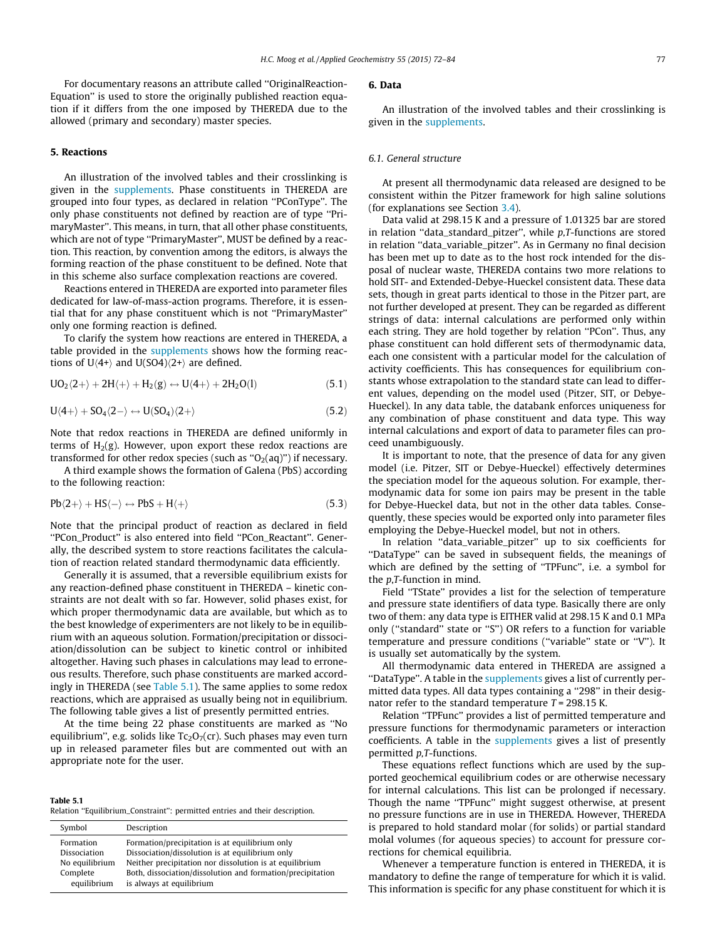<span id="page-5-0"></span>For documentary reasons an attribute called ''OriginalReaction-Equation'' is used to store the originally published reaction equation if it differs from the one imposed by THEREDA due to the allowed (primary and secondary) master species.

## 5. Reactions

An illustration of the involved tables and their crosslinking is given in the supplements. Phase constituents in THEREDA are grouped into four types, as declared in relation ''PConType''. The only phase constituents not defined by reaction are of type ''PrimaryMaster''. This means, in turn, that all other phase constituents, which are not of type ''PrimaryMaster'', MUST be defined by a reaction. This reaction, by convention among the editors, is always the forming reaction of the phase constituent to be defined. Note that in this scheme also surface complexation reactions are covered.

Reactions entered in THEREDA are exported into parameter files dedicated for law-of-mass-action programs. Therefore, it is essential that for any phase constituent which is not ''PrimaryMaster'' only one forming reaction is defined.

To clarify the system how reactions are entered in THEREDA, a table provided in the supplements shows how the forming reactions of  $U(4+)$  and  $U(SO4)\langle 2+\rangle$  are defined.

$$
UO2\langle 2+\rangle + 2H\langle + \rangle + H2(g) \leftrightarrow U\langle 4+\rangle + 2H2O(l)
$$
\n(5.1)

$$
U\langle 4+\rangle + SO_4\langle 2-\rangle \leftrightarrow U(SO_4)\langle 2+\rangle \tag{5.2}
$$

Note that redox reactions in THEREDA are defined uniformly in terms of  $H_2(g)$ . However, upon export these redox reactions are transformed for other redox species (such as " $O<sub>2</sub>(aq)$ ") if necessary.

A third example shows the formation of Galena (PbS) according to the following reaction:

$$
Pb\langle 2+\rangle + HS\langle -\rangle \leftrightarrow PbS + H\langle +\rangle \tag{5.3}
$$

Note that the principal product of reaction as declared in field ''PCon\_Product'' is also entered into field ''PCon\_Reactant''. Generally, the described system to store reactions facilitates the calculation of reaction related standard thermodynamic data efficiently.

Generally it is assumed, that a reversible equilibrium exists for any reaction-defined phase constituent in THEREDA – kinetic constraints are not dealt with so far. However, solid phases exist, for which proper thermodynamic data are available, but which as to the best knowledge of experimenters are not likely to be in equilibrium with an aqueous solution. Formation/precipitation or dissociation/dissolution can be subject to kinetic control or inhibited altogether. Having such phases in calculations may lead to erroneous results. Therefore, such phase constituents are marked accordingly in THEREDA (see Table 5.1). The same applies to some redox reactions, which are appraised as usually being not in equilibrium. The following table gives a list of presently permitted entries.

At the time being 22 phase constituents are marked as ''No equilibrium", e.g. solids like  $Tc_2O_7$ (cr). Such phases may even turn up in released parameter files but are commented out with an appropriate note for the user.

| Table 5.1 |                                                                             |
|-----------|-----------------------------------------------------------------------------|
|           | Relation "Equilibrium_Constraint": permitted entries and their description. |

| Symbol              | Description                                                |
|---------------------|------------------------------------------------------------|
| Formation           | Formation/precipitation is at equilibrium only             |
| <b>Dissociation</b> | Dissociation/dissolution is at equilibrium only            |
| No equilibrium      | Neither precipitation nor dissolution is at equilibrium    |
| Complete            | Both, dissociation/dissolution and formation/precipitation |
| equilibrium         | is always at equilibrium                                   |
|                     |                                                            |

# 6. Data

An illustration of the involved tables and their crosslinking is given in the supplements.

#### 6.1. General structure

At present all thermodynamic data released are designed to be consistent within the Pitzer framework for high saline solutions (for explanations see Section [3.4](#page-2-0)).

Data valid at 298.15 K and a pressure of 1.01325 bar are stored in relation ''data\_standard\_pitzer'', while p,T-functions are stored in relation ''data\_variable\_pitzer''. As in Germany no final decision has been met up to date as to the host rock intended for the disposal of nuclear waste, THEREDA contains two more relations to hold SIT- and Extended-Debye-Hueckel consistent data. These data sets, though in great parts identical to those in the Pitzer part, are not further developed at present. They can be regarded as different strings of data: internal calculations are performed only within each string. They are hold together by relation ''PCon''. Thus, any phase constituent can hold different sets of thermodynamic data, each one consistent with a particular model for the calculation of activity coefficients. This has consequences for equilibrium constants whose extrapolation to the standard state can lead to different values, depending on the model used (Pitzer, SIT, or Debye-Hueckel). In any data table, the databank enforces uniqueness for any combination of phase constituent and data type. This way internal calculations and export of data to parameter files can proceed unambiguously.

It is important to note, that the presence of data for any given model (i.e. Pitzer, SIT or Debye-Hueckel) effectively determines the speciation model for the aqueous solution. For example, thermodynamic data for some ion pairs may be present in the table for Debye-Hueckel data, but not in the other data tables. Consequently, these species would be exported only into parameter files employing the Debye-Hueckel model, but not in others.

In relation ''data\_variable\_pitzer'' up to six coefficients for ''DataType'' can be saved in subsequent fields, the meanings of which are defined by the setting of ''TPFunc'', i.e. a symbol for the p,T-function in mind.

Field ''TState'' provides a list for the selection of temperature and pressure state identifiers of data type. Basically there are only two of them: any data type is EITHER valid at 298.15 K and 0.1 MPa only (''standard'' state or ''S'') OR refers to a function for variable temperature and pressure conditions (''variable'' state or ''V''). It is usually set automatically by the system.

All thermodynamic data entered in THEREDA are assigned a "DataType". A table in the supplements gives a list of currently permitted data types. All data types containing a ''298'' in their designator refer to the standard temperature  $T = 298.15$  K.

Relation ''TPFunc'' provides a list of permitted temperature and pressure functions for thermodynamic parameters or interaction coefficients. A table in the supplements gives a list of presently permitted p,T-functions.

These equations reflect functions which are used by the supported geochemical equilibrium codes or are otherwise necessary for internal calculations. This list can be prolonged if necessary. Though the name ''TPFunc'' might suggest otherwise, at present no pressure functions are in use in THEREDA. However, THEREDA is prepared to hold standard molar (for solids) or partial standard molal volumes (for aqueous species) to account for pressure corrections for chemical equilibria.

Whenever a temperature function is entered in THEREDA, it is mandatory to define the range of temperature for which it is valid. This information is specific for any phase constituent for which it is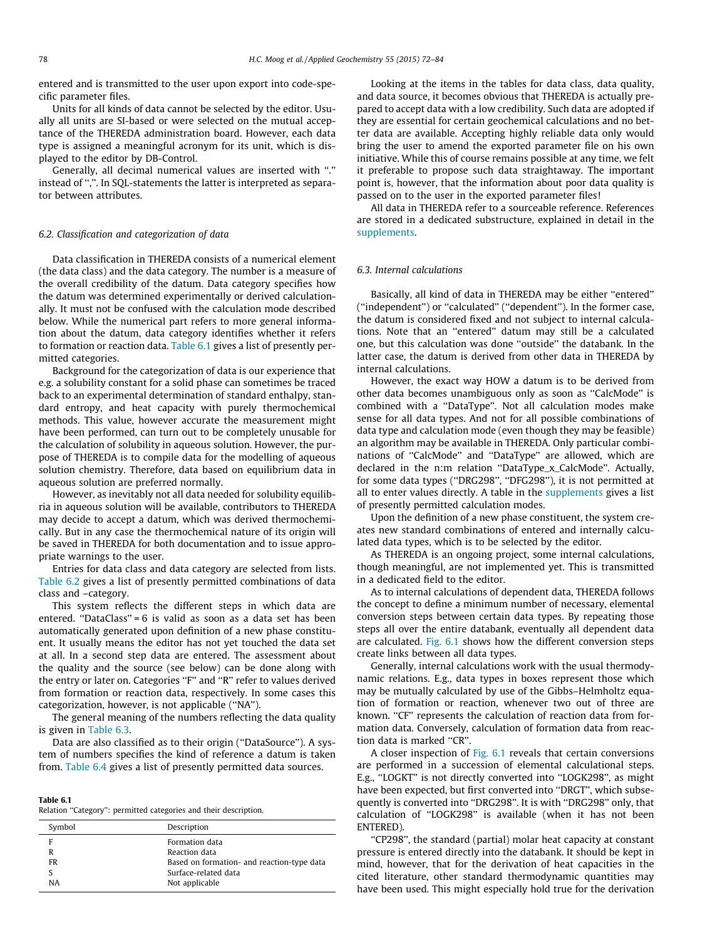<span id="page-6-0"></span>entered and is transmitted to the user upon export into code-specific parameter files.

Units for all kinds of data cannot be selected by the editor. Usually all units are SI-based or were selected on the mutual acceptance of the THEREDA administration board. However, each data type is assigned a meaningful acronym for its unit, which is displayed to the editor by DB-Control.

Generally, all decimal numerical values are inserted with "." instead of ",". In SQL-statements the latter is interpreted as separator between attributes.

#### 6.2. Classification and categorization of data

Data classification in THEREDA consists of a numerical element (the data class) and the data category. The number is a measure of the overall credibility of the datum. Data category specifies how the datum was determined experimentally or derived calculationally. It must not be confused with the calculation mode described below. While the numerical part refers to more general information about the datum, data category identifies whether it refers to formation or reaction data. Table 6.1 gives a list of presently permitted categories.

Background for the categorization of data is our experience that e.g. a solubility constant for a solid phase can sometimes be traced back to an experimental determination of standard enthalpy, standard entropy, and heat capacity with purely thermochemical methods. This value, however accurate the measurement might have been performed, can turn out to be completely unusable for the calculation of solubility in aqueous solution. However, the purpose of THEREDA is to compile data for the modelling of aqueous solution chemistry. Therefore, data based on equilibrium data in aqueous solution are preferred normally.

However, as inevitably not all data needed for solubility equilibria in aqueous solution will be available, contributors to THEREDA may decide to accept a datum, which was derived thermochemically. But in any case the thermochemical nature of its origin will be saved in THEREDA for both documentation and to issue appropriate warnings to the user.

Entries for data class and data category are selected from lists. [Table 6.2](#page-7-0) gives a list of presently permitted combinations of data class and –category.

This system reflects the different steps in which data are entered. "DataClass" = 6 is valid as soon as a data set has been automatically generated upon definition of a new phase constituent. It usually means the editor has not yet touched the data set at all. In a second step data are entered. The assessment about the quality and the source (see below) can be done along with the entry or later on. Categories "F" and "R" refer to values derived from formation or reaction data, respectively. In some cases this categorization, however, is not applicable (''NA'').

The general meaning of the numbers reflecting the data quality is given in [Table 6.3](#page-7-0).

Data are also classified as to their origin (''DataSource''). A system of numbers specifies the kind of reference a datum is taken from. [Table 6.4](#page-7-0) gives a list of presently permitted data sources.

| Table 6.1 |                                                                  |  |  |  |
|-----------|------------------------------------------------------------------|--|--|--|
|           | Relation "Category": permitted categories and their description. |  |  |  |

| Symbol | Description                                |
|--------|--------------------------------------------|
|        | Formation data                             |
| R      | Reaction data                              |
| FR     | Based on formation- and reaction-type data |
|        | Surface-related data                       |
| NA     | Not applicable                             |
|        |                                            |

Looking at the items in the tables for data class, data quality, and data source, it becomes obvious that THEREDA is actually prepared to accept data with a low credibility. Such data are adopted if they are essential for certain geochemical calculations and no better data are available. Accepting highly reliable data only would bring the user to amend the exported parameter file on his own initiative. While this of course remains possible at any time, we felt it preferable to propose such data straightaway. The important point is, however, that the information about poor data quality is passed on to the user in the exported parameter files!

All data in THEREDA refer to a sourceable reference. References are stored in a dedicated substructure, explained in detail in the supplements.

#### 6.3. Internal calculations

Basically, all kind of data in THEREDA may be either ''entered'' (''independent'') or ''calculated'' (''dependent''). In the former case, the datum is considered fixed and not subject to internal calculations. Note that an ''entered'' datum may still be a calculated one, but this calculation was done ''outside'' the databank. In the latter case, the datum is derived from other data in THEREDA by internal calculations.

However, the exact way HOW a datum is to be derived from other data becomes unambiguous only as soon as ''CalcMode'' is combined with a ''DataType''. Not all calculation modes make sense for all data types. And not for all possible combinations of data type and calculation mode (even though they may be feasible) an algorithm may be available in THEREDA. Only particular combinations of ''CalcMode'' and ''DataType'' are allowed, which are declared in the n:m relation ''DataType\_x\_CalcMode''. Actually, for some data types (''DRG298'', ''DFG298''), it is not permitted at all to enter values directly. A table in the supplements gives a list of presently permitted calculation modes.

Upon the definition of a new phase constituent, the system creates new standard combinations of entered and internally calculated data types, which is to be selected by the editor.

As THEREDA is an ongoing project, some internal calculations, though meaningful, are not implemented yet. This is transmitted in a dedicated field to the editor.

As to internal calculations of dependent data, THEREDA follows the concept to define a minimum number of necessary, elemental conversion steps between certain data types. By repeating those steps all over the entire databank, eventually all dependent data are calculated. [Fig. 6.1](#page-8-0) shows how the different conversion steps create links between all data types.

Generally, internal calculations work with the usual thermodynamic relations. E.g., data types in boxes represent those which may be mutually calculated by use of the Gibbs–Helmholtz equation of formation or reaction, whenever two out of three are known. ''CF'' represents the calculation of reaction data from formation data. Conversely, calculation of formation data from reaction data is marked ''CR''.

A closer inspection of [Fig. 6.1](#page-8-0) reveals that certain conversions are performed in a succession of elemental calculational steps. E.g., ''LOGKT'' is not directly converted into ''LOGK298'', as might have been expected, but first converted into ''DRGT'', which subsequently is converted into ''DRG298''. It is with ''DRG298'' only, that calculation of ''LOGK298'' is available (when it has not been ENTERED).

''CP298'', the standard (partial) molar heat capacity at constant pressure is entered directly into the databank. It should be kept in mind, however, that for the derivation of heat capacities in the cited literature, other standard thermodynamic quantities may have been used. This might especially hold true for the derivation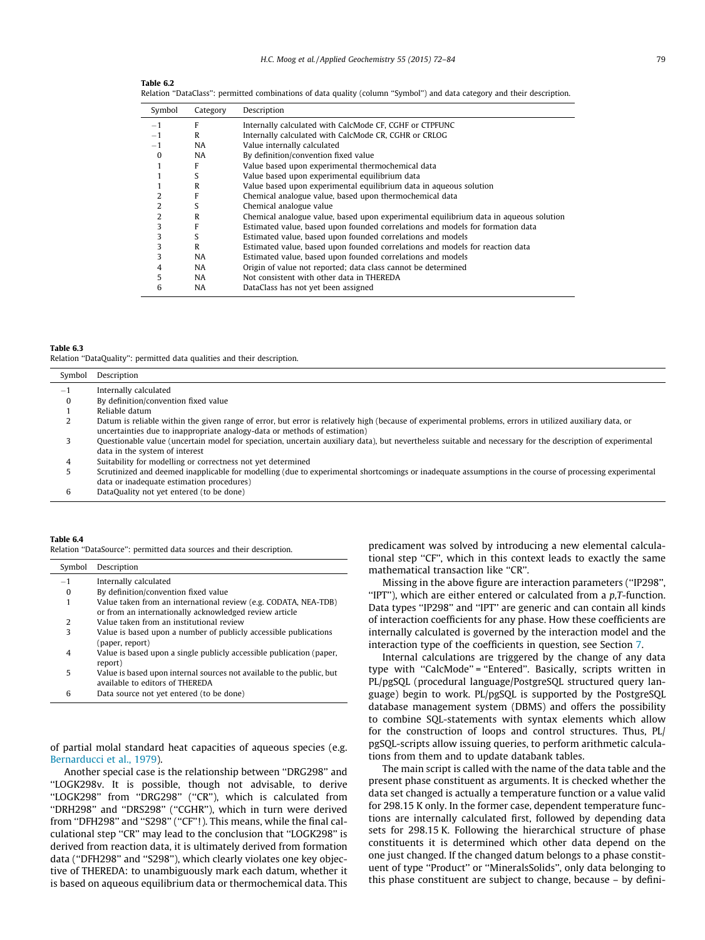<span id="page-7-0"></span>

| Table 6.2                                                                                                               |  |
|-------------------------------------------------------------------------------------------------------------------------|--|
| Relation "DataClass": permitted combinations of data quality (column "Symbol") and data category and their description. |  |

| Symbol         | Category  | Description                                                                           |
|----------------|-----------|---------------------------------------------------------------------------------------|
| $-1$           | F         | Internally calculated with CalcMode CF, CGHF or CTPFUNC                               |
| $-1$           | R         | Internally calculated with CalcMode CR, CGHR or CRLOG                                 |
| $-1$           | <b>NA</b> | Value internally calculated                                                           |
| 0              | <b>NA</b> | By definition/convention fixed value                                                  |
|                | F         | Value based upon experimental thermochemical data                                     |
|                | S         | Value based upon experimental equilibrium data                                        |
|                | R         | Value based upon experimental equilibrium data in aqueous solution                    |
|                | F         | Chemical analogue value, based upon thermochemical data                               |
| 2              | S         | Chemical analogue value                                                               |
| $\overline{2}$ | R         | Chemical analogue value, based upon experimental equilibrium data in aqueous solution |
| 3              | F         | Estimated value, based upon founded correlations and models for formation data        |
| 3              | S         | Estimated value, based upon founded correlations and models                           |
| 3              | R         | Estimated value, based upon founded correlations and models for reaction data         |
| 3              | <b>NA</b> | Estimated value, based upon founded correlations and models                           |
| 4              | <b>NA</b> | Origin of value not reported; data class cannot be determined                         |
| 5              | NA.       | Not consistent with other data in THEREDA                                             |
| 6              | <b>NA</b> | DataClass has not yet been assigned                                                   |

#### Table 6.3

Relation ''DataQuality'': permitted data qualities and their description.

| Symbol | Description                                                                                                                                                                                                                           |
|--------|---------------------------------------------------------------------------------------------------------------------------------------------------------------------------------------------------------------------------------------|
| -1     | Internally calculated                                                                                                                                                                                                                 |
|        | By definition/convention fixed value                                                                                                                                                                                                  |
|        | Reliable datum                                                                                                                                                                                                                        |
|        | Datum is reliable within the given range of error, but error is relatively high (because of experimental problems, errors in utilized auxiliary data, or<br>uncertainties due to inappropriate analogy-data or methods of estimation) |
|        | Questionable value (uncertain model for speciation, uncertain auxiliary data), but nevertheless suitable and necessary for the description of experimental<br>data in the system of interest                                          |
|        | Suitability for modelling or correctness not yet determined                                                                                                                                                                           |
|        | Scrutinized and deemed inapplicable for modelling (due to experimental shortcomings or inadequate assumptions in the course of processing experimental                                                                                |
|        | data or inadequate estimation procedures)                                                                                                                                                                                             |
| 6      | DataQuality not yet entered (to be done)                                                                                                                                                                                              |

# Table 6.4

Relation ''DataSource'': permitted data sources and their description.

| Symbol | Description                                                                                                               |
|--------|---------------------------------------------------------------------------------------------------------------------------|
| $-1$   | Internally calculated                                                                                                     |
| 0      | By definition/convention fixed value                                                                                      |
| 1      | Value taken from an international review (e.g. CODATA, NEA-TDB)<br>or from an internationally acknowledged review article |
| 2      | Value taken from an institutional review                                                                                  |
| 3      | Value is based upon a number of publicly accessible publications<br>(paper, report)                                       |
| 4      | Value is based upon a single publicly accessible publication (paper,<br>report)                                           |
| 5      | Value is based upon internal sources not available to the public, but<br>available to editors of THEREDA                  |
|        |                                                                                                                           |

6 Data source not yet entered (to be done)

of partial molal standard heat capacities of aqueous species (e.g. [Bernarducci et al., 1979](#page-11-0)).

Another special case is the relationship between ''DRG298'' and ''LOGK298v. It is possible, though not advisable, to derive ''LOGK298'' from ''DRG298'' (''CR''), which is calculated from ''DRH298'' and ''DRS298'' (''CGHR''), which in turn were derived from "DFH298" and "S298" ("CF"!). This means, while the final calculational step "CR" may lead to the conclusion that "LOGK298" is derived from reaction data, it is ultimately derived from formation data (''DFH298'' and ''S298''), which clearly violates one key objective of THEREDA: to unambiguously mark each datum, whether it is based on aqueous equilibrium data or thermochemical data. This predicament was solved by introducing a new elemental calculational step "CF", which in this context leads to exactly the same mathematical transaction like ''CR''.

Missing in the above figure are interaction parameters (''IP298'', "IPT"), which are either entered or calculated from a  $p$ , T-function. Data types ''IP298'' and ''IPT'' are generic and can contain all kinds of interaction coefficients for any phase. How these coefficients are internally calculated is governed by the interaction model and the interaction type of the coefficients in question, see Section [7](#page-9-0).

Internal calculations are triggered by the change of any data type with ''CalcMode'' = ''Entered''. Basically, scripts written in PL/pgSQL (procedural language/PostgreSQL structured query language) begin to work. PL/pgSQL is supported by the PostgreSQL database management system (DBMS) and offers the possibility to combine SQL-statements with syntax elements which allow for the construction of loops and control structures. Thus, PL/ pgSQL-scripts allow issuing queries, to perform arithmetic calculations from them and to update databank tables.

The main script is called with the name of the data table and the present phase constituent as arguments. It is checked whether the data set changed is actually a temperature function or a value valid for 298.15 K only. In the former case, dependent temperature functions are internally calculated first, followed by depending data sets for 298.15 K. Following the hierarchical structure of phase constituents it is determined which other data depend on the one just changed. If the changed datum belongs to a phase constituent of type ''Product'' or ''MineralsSolids'', only data belonging to this phase constituent are subject to change, because – by defini-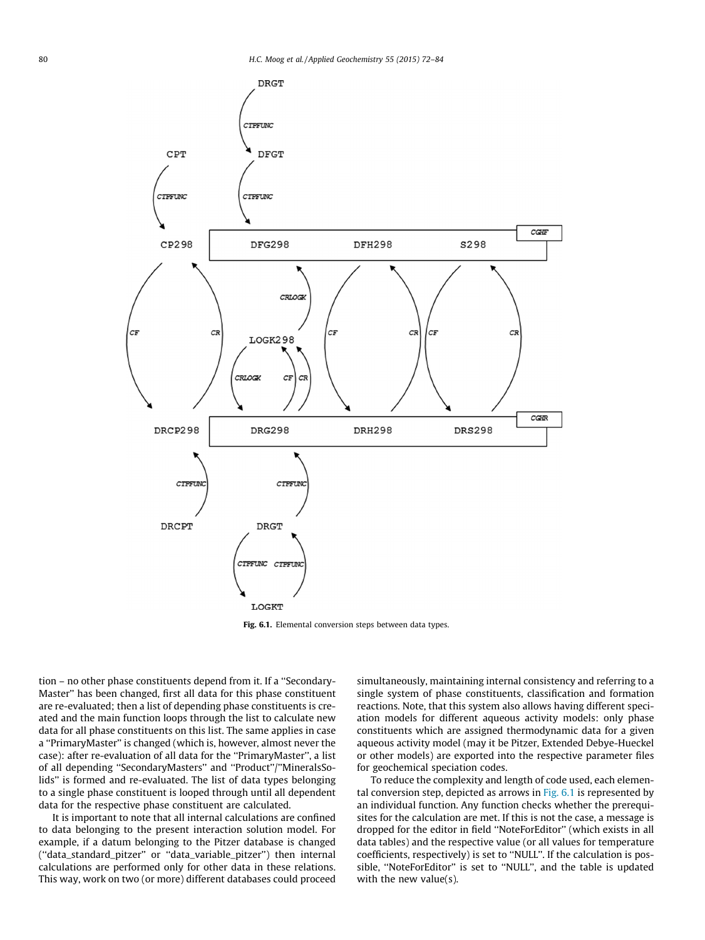<span id="page-8-0"></span>

Fig. 6.1. Elemental conversion steps between data types.

tion – no other phase constituents depend from it. If a ''Secondary-Master'' has been changed, first all data for this phase constituent are re-evaluated; then a list of depending phase constituents is created and the main function loops through the list to calculate new data for all phase constituents on this list. The same applies in case a ''PrimaryMaster'' is changed (which is, however, almost never the case): after re-evaluation of all data for the ''PrimaryMaster'', a list of all depending ''SecondaryMasters'' and ''Product''/''MineralsSolids'' is formed and re-evaluated. The list of data types belonging to a single phase constituent is looped through until all dependent data for the respective phase constituent are calculated.

It is important to note that all internal calculations are confined to data belonging to the present interaction solution model. For example, if a datum belonging to the Pitzer database is changed (''data\_standard\_pitzer'' or ''data\_variable\_pitzer'') then internal calculations are performed only for other data in these relations. This way, work on two (or more) different databases could proceed simultaneously, maintaining internal consistency and referring to a single system of phase constituents, classification and formation reactions. Note, that this system also allows having different speciation models for different aqueous activity models: only phase constituents which are assigned thermodynamic data for a given aqueous activity model (may it be Pitzer, Extended Debye-Hueckel or other models) are exported into the respective parameter files for geochemical speciation codes.

To reduce the complexity and length of code used, each elemental conversion step, depicted as arrows in Fig. 6.1 is represented by an individual function. Any function checks whether the prerequisites for the calculation are met. If this is not the case, a message is dropped for the editor in field ''NoteForEditor'' (which exists in all data tables) and the respective value (or all values for temperature coefficients, respectively) is set to ''NULL''. If the calculation is possible, ''NoteForEditor'' is set to ''NULL'', and the table is updated with the new value(s).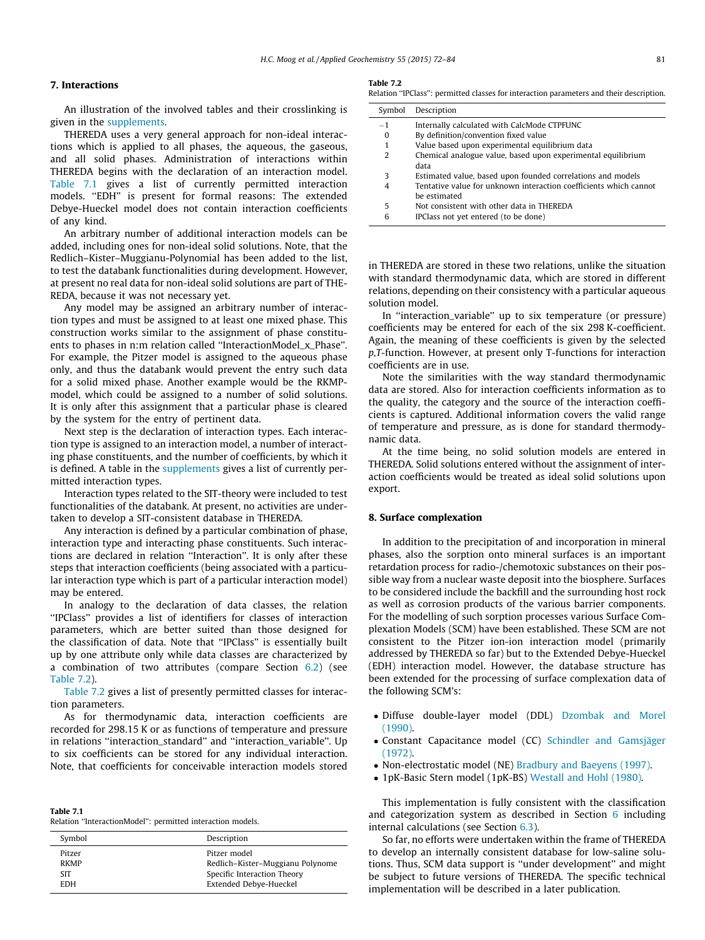# <span id="page-9-0"></span>7. Interactions

An illustration of the involved tables and their crosslinking is given in the supplements.

THEREDA uses a very general approach for non-ideal interactions which is applied to all phases, the aqueous, the gaseous, and all solid phases. Administration of interactions within THEREDA begins with the declaration of an interaction model. Table 7.1 gives a list of currently permitted interaction models. ''EDH'' is present for formal reasons: The extended Debye-Hueckel model does not contain interaction coefficients of any kind.

An arbitrary number of additional interaction models can be added, including ones for non-ideal solid solutions. Note, that the Redlich–Kister–Muggianu-Polynomial has been added to the list, to test the databank functionalities during development. However, at present no real data for non-ideal solid solutions are part of THE-REDA, because it was not necessary yet.

Any model may be assigned an arbitrary number of interaction types and must be assigned to at least one mixed phase. This construction works similar to the assignment of phase constituents to phases in n:m relation called ''InteractionModel\_x\_Phase''. For example, the Pitzer model is assigned to the aqueous phase only, and thus the databank would prevent the entry such data for a solid mixed phase. Another example would be the RKMPmodel, which could be assigned to a number of solid solutions. It is only after this assignment that a particular phase is cleared by the system for the entry of pertinent data.

Next step is the declaration of interaction types. Each interaction type is assigned to an interaction model, a number of interacting phase constituents, and the number of coefficients, by which it is defined. A table in the supplements gives a list of currently permitted interaction types.

Interaction types related to the SIT-theory were included to test functionalities of the databank. At present, no activities are undertaken to develop a SIT-consistent database in THEREDA.

Any interaction is defined by a particular combination of phase, interaction type and interacting phase constituents. Such interactions are declared in relation ''Interaction''. It is only after these steps that interaction coefficients (being associated with a particular interaction type which is part of a particular interaction model) may be entered.

In analogy to the declaration of data classes, the relation ''IPClass'' provides a list of identifiers for classes of interaction parameters, which are better suited than those designed for the classification of data. Note that ''IPClass'' is essentially built up by one attribute only while data classes are characterized by a combination of two attributes (compare Section [6.2](#page-6-0)) (see Table 7.2).

Table 7.2 gives a list of presently permitted classes for interaction parameters.

As for thermodynamic data, interaction coefficients are recorded for 298.15 K or as functions of temperature and pressure in relations ''interaction\_standard'' and ''interaction\_variable''. Up to six coefficients can be stored for any individual interaction. Note, that coefficients for conceivable interaction models stored

| Table 7.1                                                  |  |  |
|------------------------------------------------------------|--|--|
| Relation "InteractionModel": permitted interaction models. |  |  |

| Symbol                | Description                                      |
|-----------------------|--------------------------------------------------|
| Pitzer<br><b>RKMP</b> | Pitzer model<br>Redlich-Kister-Muggianu Polynome |
| SIT                   | Specific Interaction Theory                      |
| <b>EDH</b>            | Extended Debye-Hueckel                           |

#### Table 7.2

| Relation "IPClass": permitted classes for interaction parameters and their description. |  |  |  |  |  |  |  |  |
|-----------------------------------------------------------------------------------------|--|--|--|--|--|--|--|--|
|-----------------------------------------------------------------------------------------|--|--|--|--|--|--|--|--|

| Symbol         | Description                                                                       |
|----------------|-----------------------------------------------------------------------------------|
| $-1$           | Internally calculated with CalcMode CTPFUNC                                       |
| 0              | By definition/convention fixed value                                              |
| 1              | Value based upon experimental equilibrium data                                    |
| 2              | Chemical analogue value, based upon experimental equilibrium<br>data              |
| 3              | Estimated value, based upon founded correlations and models                       |
| $\overline{4}$ | Tentative value for unknown interaction coefficients which cannot<br>be estimated |
| 5              | Not consistent with other data in THEREDA                                         |
| 6              | IPClass not yet entered (to be done)                                              |

in THEREDA are stored in these two relations, unlike the situation with standard thermodynamic data, which are stored in different relations, depending on their consistency with a particular aqueous solution model.

In ''interaction\_variable'' up to six temperature (or pressure) coefficients may be entered for each of the six 298 K-coefficient. Again, the meaning of these coefficients is given by the selected p,T-function. However, at present only T-functions for interaction coefficients are in use.

Note the similarities with the way standard thermodynamic data are stored. Also for interaction coefficients information as to the quality, the category and the source of the interaction coefficients is captured. Additional information covers the valid range of temperature and pressure, as is done for standard thermodynamic data.

At the time being, no solid solution models are entered in THEREDA. Solid solutions entered without the assignment of interaction coefficients would be treated as ideal solid solutions upon export.

## 8. Surface complexation

In addition to the precipitation of and incorporation in mineral phases, also the sorption onto mineral surfaces is an important retardation process for radio-/chemotoxic substances on their possible way from a nuclear waste deposit into the biosphere. Surfaces to be considered include the backfill and the surrounding host rock as well as corrosion products of the various barrier components. For the modelling of such sorption processes various Surface Complexation Models (SCM) have been established. These SCM are not consistent to the Pitzer ion-ion interaction model (primarily addressed by THEREDA so far) but to the Extended Debye-Hueckel (EDH) interaction model. However, the database structure has been extended for the processing of surface complexation data of the following SCM's:

- Diffuse double-layer model (DDL) [Dzombak and Morel](#page-11-0) [\(1990\)](#page-11-0).
- Constant Capacitance model (CC) [Schindler and Gamsjäger](#page-12-0)  $(1972)$
- Non-electrostatic model (NE) [Bradbury and Baeyens \(1997\)](#page-11-0).
- 1pK-Basic Stern model (1pK-BS) [Westall and Hohl \(1980\).](#page-12-0)

This implementation is fully consistent with the classification and categorization system as described in Section [6](#page-5-0) including internal calculations (see Section [6.3\)](#page-6-0).

So far, no efforts were undertaken within the frame of THEREDA to develop an internally consistent database for low-saline solutions. Thus, SCM data support is ''under development'' and might be subject to future versions of THEREDA. The specific technical implementation will be described in a later publication.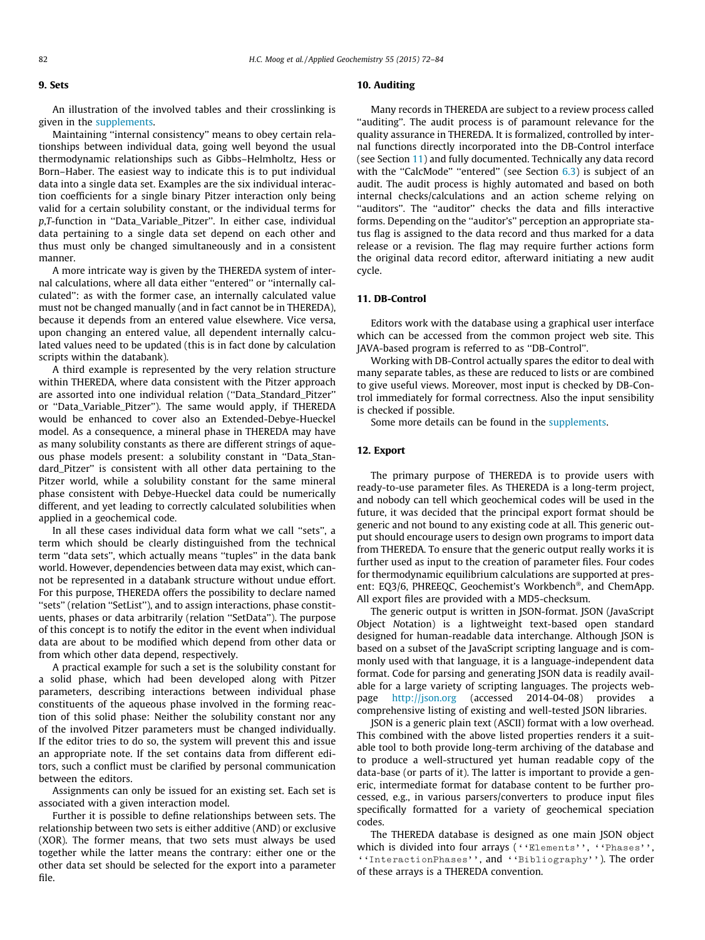# 9. Sets

An illustration of the involved tables and their crosslinking is given in the supplements.

Maintaining ''internal consistency'' means to obey certain relationships between individual data, going well beyond the usual thermodynamic relationships such as Gibbs–Helmholtz, Hess or Born–Haber. The easiest way to indicate this is to put individual data into a single data set. Examples are the six individual interaction coefficients for a single binary Pitzer interaction only being valid for a certain solubility constant, or the individual terms for p,T-function in ''Data\_Variable\_Pitzer''. In either case, individual data pertaining to a single data set depend on each other and thus must only be changed simultaneously and in a consistent manner.

A more intricate way is given by the THEREDA system of internal calculations, where all data either ''entered'' or ''internally calculated'': as with the former case, an internally calculated value must not be changed manually (and in fact cannot be in THEREDA), because it depends from an entered value elsewhere. Vice versa, upon changing an entered value, all dependent internally calculated values need to be updated (this is in fact done by calculation scripts within the databank).

A third example is represented by the very relation structure within THEREDA, where data consistent with the Pitzer approach are assorted into one individual relation (''Data\_Standard\_Pitzer'' or ''Data\_Variable\_Pitzer''). The same would apply, if THEREDA would be enhanced to cover also an Extended-Debye-Hueckel model. As a consequence, a mineral phase in THEREDA may have as many solubility constants as there are different strings of aqueous phase models present: a solubility constant in ''Data\_Standard\_Pitzer'' is consistent with all other data pertaining to the Pitzer world, while a solubility constant for the same mineral phase consistent with Debye-Hueckel data could be numerically different, and yet leading to correctly calculated solubilities when applied in a geochemical code.

In all these cases individual data form what we call ''sets'', a term which should be clearly distinguished from the technical term "data sets", which actually means "tuples" in the data bank world. However, dependencies between data may exist, which cannot be represented in a databank structure without undue effort. For this purpose, THEREDA offers the possibility to declare named "sets" (relation "SetList"), and to assign interactions, phase constituents, phases or data arbitrarily (relation ''SetData''). The purpose of this concept is to notify the editor in the event when individual data are about to be modified which depend from other data or from which other data depend, respectively.

A practical example for such a set is the solubility constant for a solid phase, which had been developed along with Pitzer parameters, describing interactions between individual phase constituents of the aqueous phase involved in the forming reaction of this solid phase: Neither the solubility constant nor any of the involved Pitzer parameters must be changed individually. If the editor tries to do so, the system will prevent this and issue an appropriate note. If the set contains data from different editors, such a conflict must be clarified by personal communication between the editors.

Assignments can only be issued for an existing set. Each set is associated with a given interaction model.

Further it is possible to define relationships between sets. The relationship between two sets is either additive (AND) or exclusive (XOR). The former means, that two sets must always be used together while the latter means the contrary: either one or the other data set should be selected for the export into a parameter file.

# 10. Auditing

Many records in THEREDA are subject to a review process called ''auditing''. The audit process is of paramount relevance for the quality assurance in THEREDA. It is formalized, controlled by internal functions directly incorporated into the DB-Control interface (see Section 11) and fully documented. Technically any data record with the "CalcMode" "entered" (see Section  $6.3$ ) is subject of an audit. The audit process is highly automated and based on both internal checks/calculations and an action scheme relying on ''auditors''. The ''auditor'' checks the data and fills interactive forms. Depending on the ''auditor's'' perception an appropriate status flag is assigned to the data record and thus marked for a data release or a revision. The flag may require further actions form the original data record editor, afterward initiating a new audit cycle.

# 11. DB-Control

Editors work with the database using a graphical user interface which can be accessed from the common project web site. This JAVA-based program is referred to as ''DB-Control''.

Working with DB-Control actually spares the editor to deal with many separate tables, as these are reduced to lists or are combined to give useful views. Moreover, most input is checked by DB-Control immediately for formal correctness. Also the input sensibility is checked if possible.

Some more details can be found in the supplements.

#### 12. Export

The primary purpose of THEREDA is to provide users with ready-to-use parameter files. As THEREDA is a long-term project, and nobody can tell which geochemical codes will be used in the future, it was decided that the principal export format should be generic and not bound to any existing code at all. This generic output should encourage users to design own programs to import data from THEREDA. To ensure that the generic output really works it is further used as input to the creation of parameter files. Four codes for thermodynamic equilibrium calculations are supported at present: EQ3/6, PHREEQC, Geochemist's Workbench®, and ChemApp. All export files are provided with a MD5-checksum.

The generic output is written in JSON-format. JSON (JavaScript Object Notation) is a lightweight text-based open standard designed for human-readable data interchange. Although JSON is based on a subset of the JavaScript scripting language and is commonly used with that language, it is a language-independent data format. Code for parsing and generating JSON data is readily available for a large variety of scripting languages. The projects webpage <http://json.org> (accessed 2014-04-08) provides a comprehensive listing of existing and well-tested JSON libraries.

JSON is a generic plain text (ASCII) format with a low overhead. This combined with the above listed properties renders it a suitable tool to both provide long-term archiving of the database and to produce a well-structured yet human readable copy of the data-base (or parts of it). The latter is important to provide a generic, intermediate format for database content to be further processed, e.g., in various parsers/converters to produce input files specifically formatted for a variety of geochemical speciation codes.

The THEREDA database is designed as one main JSON object which is divided into four arrays (''Elements'', ''Phases'', ''InteractionPhases'', and ''Bibliography''). The order of these arrays is a THEREDA convention.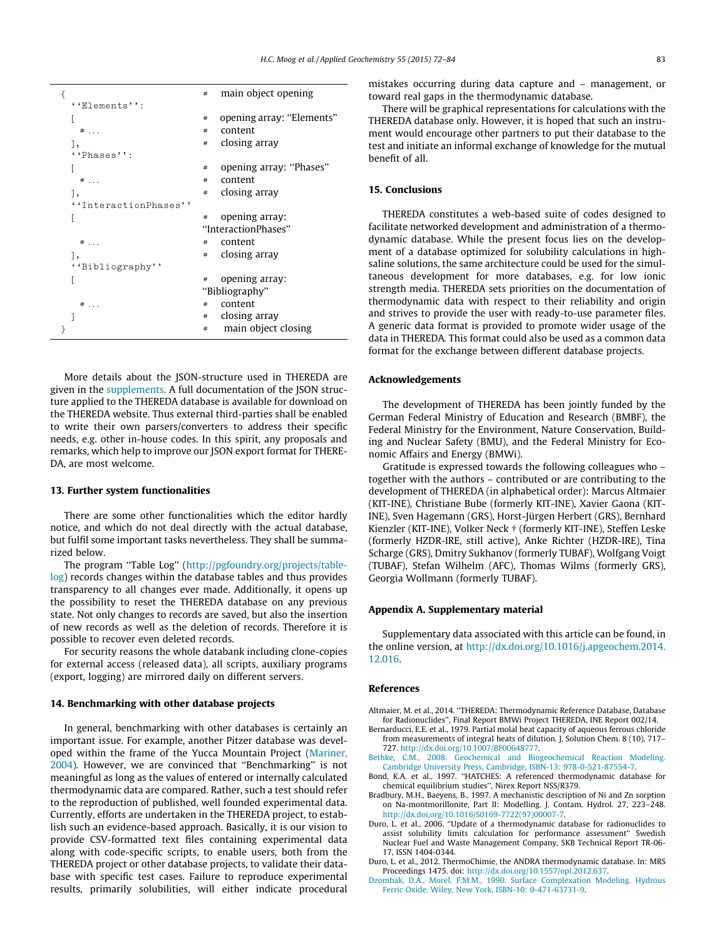<span id="page-11-0"></span>

| ₹                     | main object opening<br>#       |
|-----------------------|--------------------------------|
| "Elements":           |                                |
| ſ                     | opening array: "Elements"<br># |
| $#$                   | content<br>#                   |
| 1,                    | closing array<br>#             |
| ''Phases'':           |                                |
|                       | opening array: "Phases"<br>#   |
| $#$                   | content<br>#                   |
| 1,                    | closing array<br>#             |
| "'InteractionPhases'' |                                |
| ſ                     | opening array:<br>#            |
|                       | "InteractionPhases"            |
| $#$                   | content<br>#                   |
| ],                    | closing array<br>#             |
| ''Bibliography''      |                                |
| ſ                     | opening array:<br>#            |
|                       | "Bibliography"                 |
| $#$                   | content<br>#                   |
|                       | closing array<br>#             |
| ł                     | main object closing<br>#       |
|                       |                                |

More details about the JSON-structure used in THEREDA are given in the supplements. A full documentation of the JSON structure applied to the THEREDA database is available for download on the THEREDA website. Thus external third-parties shall be enabled to write their own parsers/converters to address their specific needs, e.g. other in-house codes. In this spirit, any proposals and remarks, which help to improve our JSON export format for THERE-DA, are most welcome.

#### 13. Further system functionalities

There are some other functionalities which the editor hardly notice, and which do not deal directly with the actual database, but fulfil some important tasks nevertheless. They shall be summarized below.

The program ''Table Log'' ([http://pgfoundry.org/projects/table](http://pgfoundry.org/projects/tablelog)[log](http://pgfoundry.org/projects/tablelog)) records changes within the database tables and thus provides transparency to all changes ever made. Additionally, it opens up the possibility to reset the THEREDA database on any previous state. Not only changes to records are saved, but also the insertion of new records as well as the deletion of records. Therefore it is possible to recover even deleted records.

For security reasons the whole databank including clone-copies for external access (released data), all scripts, auxiliary programs (export, logging) are mirrored daily on different servers.

#### 14. Benchmarking with other database projects

In general, benchmarking with other databases is certainly an important issue. For example, another Pitzer database was developed within the frame of the Yucca Mountain Project ([Mariner,](#page-12-0) [2004](#page-12-0)). However, we are convinced that ''Benchmarking'' is not meaningful as long as the values of entered or internally calculated thermodynamic data are compared. Rather, such a test should refer to the reproduction of published, well founded experimental data. Currently, efforts are undertaken in the THEREDA project, to establish such an evidence-based approach. Basically, it is our vision to provide CSV-formatted text files containing experimental data along with code-specific scripts, to enable users, both from the THEREDA project or other database projects, to validate their database with specific test cases. Failure to reproduce experimental results, primarily solubilities, will either indicate procedural mistakes occurring during data capture and – management, or toward real gaps in the thermodynamic database.

There will be graphical representations for calculations with the THEREDA database only. However, it is hoped that such an instrument would encourage other partners to put their database to the test and initiate an informal exchange of knowledge for the mutual benefit of all.

#### 15. Conclusions

THEREDA constitutes a web-based suite of codes designed to facilitate networked development and administration of a thermodynamic database. While the present focus lies on the development of a database optimized for solubility calculations in highsaline solutions, the same architecture could be used for the simultaneous development for more databases, e.g. for low ionic strength media. THEREDA sets priorities on the documentation of thermodynamic data with respect to their reliability and origin and strives to provide the user with ready-to-use parameter files. A generic data format is provided to promote wider usage of the data in THEREDA. This format could also be used as a common data format for the exchange between different database projects.

#### Acknowledgements

The development of THEREDA has been jointly funded by the German Federal Ministry of Education and Research (BMBF), the Federal Ministry for the Environment, Nature Conservation, Building and Nuclear Safety (BMU), and the Federal Ministry for Economic Affairs and Energy (BMWi).

Gratitude is expressed towards the following colleagues who – together with the authors – contributed or are contributing to the development of THEREDA (in alphabetical order): Marcus Altmaier (KIT-INE), Christiane Bube (formerly KIT-INE), Xavier Gaona (KIT-INE), Sven Hagemann (GRS), Horst-Jürgen Herbert (GRS), Bernhard Kienzler (KIT-INE), Volker Neck † (formerly KIT-INE), Steffen Leske (formerly HZDR-IRE, still active), Anke Richter (HZDR-IRE), Tina Scharge (GRS), Dmitry Sukhanov (formerly TUBAF), Wolfgang Voigt (TUBAF), Stefan Wilhelm (AFC), Thomas Wilms (formerly GRS), Georgia Wollmann (formerly TUBAF).

#### Appendix A. Supplementary material

Supplementary data associated with this article can be found, in the online version, at [http://dx.doi.org/10.1016/j.apgeochem.2014.](http://dx.doi.org/10.1016/j.apgeochem.2014.12.016) [12.016](http://dx.doi.org/10.1016/j.apgeochem.2014.12.016).

#### References

Altmaier, M. et al., 2014. ''THEREDA: Thermodynamic Reference Database, Database for Radionuclides'', Final Report BMWi Project THEREDA, INE Report 002/14.

- Bernarducci, E.E. et al., 1979. Partial molal heat capacity of aqueous ferrous chloride from measurements of integral heats of dilution. J. Solution Chem. 8 (10), 717– 727. [http://dx.doi.org/10.1007/BF00648777.](http://dx.doi.org/10.1007/BF00648777)
- 2008. Geochemical and Biogeochemical Reaction Modeling. [Cambridge University Press, Cambridge, ISBN-13: 978-0-521-87554-7](http://refhub.elsevier.com/S0883-2927(14)00329-1/h0015).
- Bond, K.A. et al., 1997. ''HATCHES: A referenced thermodynamic database for chemical equilibrium studies'', Nirex Report NSS/R379.
- Bradbury, M.H., Baeyens, B., 1997. A mechanistic description of Ni and Zn sorption on Na-montmorillonite, Part II: Modelling. J. Contam. Hydrol. 27, 223–248. [http://dx.doi.org/10.1016/S0169-7722\(97\)00007-7.](http://dx.doi.org/10.1016/S0169-7722(97)00007-7)
- Duro, L. et al., 2006. ''Update of a thermodynamic database for radionuclides to assist solubility limits calculation for performance assessment'' Swedish Nuclear Fuel and Waste Management Company, SKB Technical Report TR-06- 17, ISSN 1404-0344.
- Duro, L. et al., 2012. ThermoChimie, the ANDRA thermodynamic database. In: MRS Proceedings 1475. doi: [http://dx.doi.org/10.1557/opl.2012.637.](http://dx.doi.org/10.1557/opl.2012.637)
- [Dzombak, D.A., Morel, F.M.M., 1990. Surface Complexation Modeling. Hydrous](http://refhub.elsevier.com/S0883-2927(14)00329-1/h0040) [Ferric Oxide. Wiley, New York, ISBN-10: 0-471-63731-9](http://refhub.elsevier.com/S0883-2927(14)00329-1/h0040).